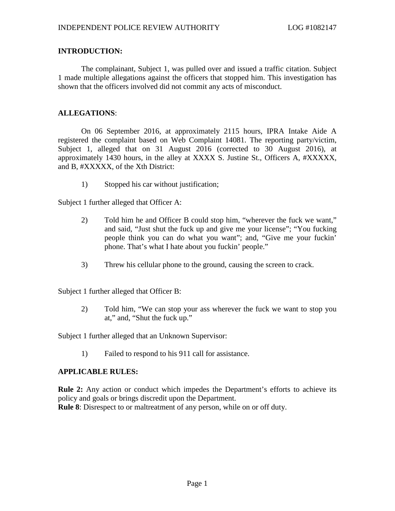# **INTRODUCTION:**

The complainant, Subject 1, was pulled over and issued a traffic citation. Subject 1 made multiple allegations against the officers that stopped him. This investigation has shown that the officers involved did not commit any acts of misconduct.

# **ALLEGATIONS**:

On 06 September 2016, at approximately 2115 hours, IPRA Intake Aide A registered the complaint based on Web Complaint 14081. The reporting party/victim, Subject 1, alleged that on 31 August 2016 (corrected to 30 August 2016), at approximately 1430 hours, in the alley at XXXX S. Justine St., Officers A, #XXXXX, and B, #XXXXX, of the Xth District:

1) Stopped his car without justification;

Subject 1 further alleged that Officer A:

- 2) Told him he and Officer B could stop him, "wherever the fuck we want," and said, "Just shut the fuck up and give me your license"; "You fucking people think you can do what you want"; and, "Give me your fuckin' phone. That's what I hate about you fuckin' people."
- 3) Threw his cellular phone to the ground, causing the screen to crack.

Subject 1 further alleged that Officer B:

2) Told him, "We can stop your ass wherever the fuck we want to stop you at," and, "Shut the fuck up."

Subject 1 further alleged that an Unknown Supervisor:

1) Failed to respond to his 911 call for assistance.

## **APPLICABLE RULES:**

**Rule 2:** Any action or conduct which impedes the Department's efforts to achieve its policy and goals or brings discredit upon the Department. **Rule 8**: Disrespect to or maltreatment of any person, while on or off duty.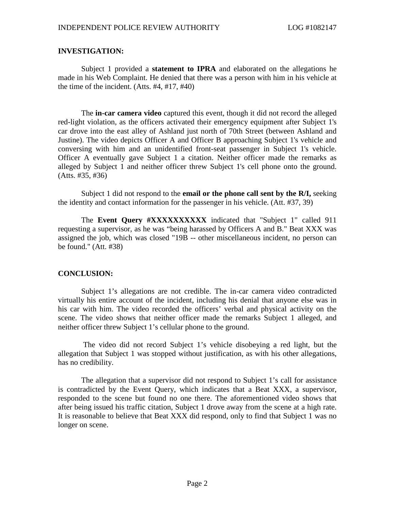## **INVESTIGATION:**

Subject 1 provided a **statement to IPRA** and elaborated on the allegations he made in his Web Complaint. He denied that there was a person with him in his vehicle at the time of the incident. (Atts. #4, #17, #40)

The **in-car camera video** captured this event, though it did not record the alleged red-light violation, as the officers activated their emergency equipment after Subject 1's car drove into the east alley of Ashland just north of 70th Street (between Ashland and Justine). The video depicts Officer A and Officer B approaching Subject 1's vehicle and conversing with him and an unidentified front-seat passenger in Subject 1's vehicle. Officer A eventually gave Subject 1 a citation. Neither officer made the remarks as alleged by Subject 1 and neither officer threw Subject 1's cell phone onto the ground. (Atts. #35, #36)

Subject 1 did not respond to the **email or the phone call sent by the R/I,** seeking the identity and contact information for the passenger in his vehicle. (Att. #37, 39)

The **Event Query #XXXXXXXXXXX** indicated that "Subject 1" called 911 requesting a supervisor, as he was "being harassed by Officers A and B." Beat XXX was assigned the job, which was closed "19B -- other miscellaneous incident, no person can be found." (Att. #38)

## **CONCLUSION:**

Subject 1's allegations are not credible. The in-car camera video contradicted virtually his entire account of the incident, including his denial that anyone else was in his car with him. The video recorded the officers' verbal and physical activity on the scene. The video shows that neither officer made the remarks Subject 1 alleged, and neither officer threw Subject 1's cellular phone to the ground.

The video did not record Subject 1's vehicle disobeying a red light, but the allegation that Subject 1 was stopped without justification, as with his other allegations, has no credibility.

The allegation that a supervisor did not respond to Subject 1's call for assistance is contradicted by the Event Query, which indicates that a Beat XXX, a supervisor, responded to the scene but found no one there. The aforementioned video shows that after being issued his traffic citation, Subject 1 drove away from the scene at a high rate. It is reasonable to believe that Beat XXX did respond, only to find that Subject 1 was no longer on scene.